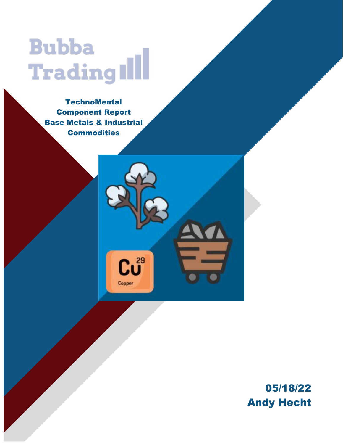# **Bubba** Trading Ill

**TechnoMental** Component Report Base Metals & Industrial **Commodities** 

 $\mathbf{C} \mathbf{U}^{^{29}}$ 

Copper

05/18/22 Andy Hecht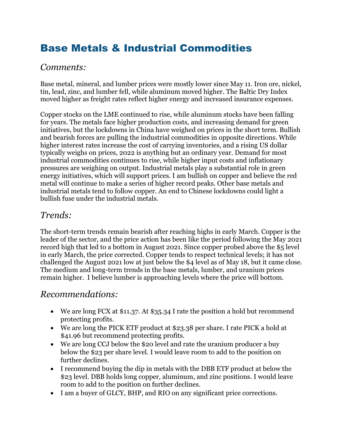## Base Metals & Industrial Commodities

#### *Comments:*

Base metal, mineral, and lumber prices were mostly lower since May 11. Iron ore, nickel, tin, lead, zinc, and lumber fell, while aluminum moved higher. The Baltic Dry Index moved higher as freight rates reflect higher energy and increased insurance expenses.

Copper stocks on the LME continued to rise, while aluminum stocks have been falling for years. The metals face higher production costs, and increasing demand for green initiatives, but the lockdowns in China have weighed on prices in the short term. Bullish and bearish forces are pulling the industrial commodities in opposite directions. While higher interest rates increase the cost of carrying inventories, and a rising US dollar typically weighs on prices, 2022 is anything but an ordinary year. Demand for most industrial commodities continues to rise, while higher input costs and inflationary pressures are weighing on output. Industrial metals play a substantial role in green energy initiatives, which will support prices. I am bullish on copper and believe the red metal will continue to make a series of higher record peaks. Other base metals and industrial metals tend to follow copper. An end to Chinese lockdowns could light a bullish fuse under the industrial metals.

### *Trends:*

The short-term trends remain bearish after reaching highs in early March. Copper is the leader of the sector, and the price action has been like the period following the May 2021 record high that led to a bottom in August 2021. Since copper probed above the \$5 level in early March, the price corrected. Copper tends to respect technical levels; it has not challenged the August 2021 low at just below the \$4 level as of May 18, but it came close. The medium and long-term trends in the base metals, lumber, and uranium prices remain higher. I believe lumber is approaching levels where the price will bottom.

### *Recommendations:*

- We are long FCX at \$11.37. At \$35.34 I rate the position a hold but recommend protecting profits.
- We are long the PICK ETF product at \$23.38 per share. I rate PICK a hold at \$41.96 but recommend protecting profits.
- We are long CCJ below the \$20 level and rate the uranium producer a buy below the \$23 per share level. I would leave room to add to the position on further declines.
- I recommend buying the dip in metals with the DBB ETF product at below the \$23 level. DBB holds long copper, aluminum, and zinc positions. I would leave room to add to the position on further declines.
- I am a buyer of GLCY, BHP, and RIO on any significant price corrections.